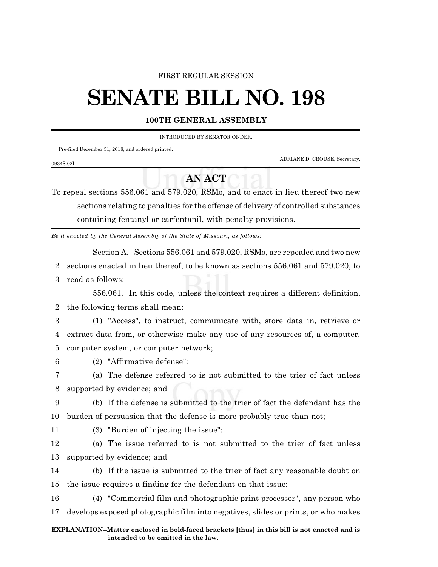### FIRST REGULAR SESSION

# **SENATE BILL NO. 198**

## **100TH GENERAL ASSEMBLY**

INTRODUCED BY SENATOR ONDER.

Pre-filed December 31, 2018, and ordered printed.

ADRIANE D. CROUSE, Secretary.

# **AN ACT**

To repeal sections 556.061 and 579.020, RSMo, and to enact in lieu thereof two new sections relating to penalties for the offense of delivery of controlled substances containing fentanyl or carfentanil, with penalty provisions.

*Be it enacted by the General Assembly of the State of Missouri, as follows:*

Section A. Sections 556.061 and 579.020, RSMo, are repealed and two new

2 sections enacted in lieu thereof, to be known as sections 556.061 and 579.020, to

3 read as follows:

0934S.02I

556.061. In this code, unless the context requires a different definition, 2 the following terms shall mean:

3 (1) "Access", to instruct, communicate with, store data in, retrieve or 4 extract data from, or otherwise make any use of any resources of, a computer, 5 computer system, or computer network;

6 (2) "Affirmative defense":

7 (a) The defense referred to is not submitted to the trier of fact unless 8 supported by evidence; and

9 (b) If the defense is submitted to the trier of fact the defendant has the 10 burden of persuasion that the defense is more probably true than not;

- 
- 11 (3) "Burden of injecting the issue":

12 (a) The issue referred to is not submitted to the trier of fact unless 13 supported by evidence; and

14 (b) If the issue is submitted to the trier of fact any reasonable doubt on 15 the issue requires a finding for the defendant on that issue;

16 (4) "Commercial film and photographic print processor", any person who 17 develops exposed photographic film into negatives, slides or prints, or who makes

#### **EXPLANATION--Matter enclosed in bold-faced brackets [thus] in this bill is not enacted and is intended to be omitted in the law.**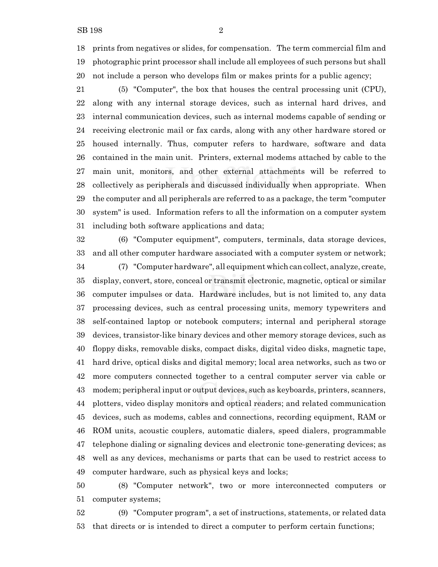prints from negatives or slides, for compensation. The term commercial film and photographic print processor shall include all employees of such persons but shall not include a person who develops film or makes prints for a public agency;

 (5) "Computer", the box that houses the central processing unit (CPU), along with any internal storage devices, such as internal hard drives, and internal communication devices, such as internal modems capable of sending or receiving electronic mail or fax cards, along with any other hardware stored or housed internally. Thus, computer refers to hardware, software and data contained in the main unit. Printers, external modems attached by cable to the main unit, monitors, and other external attachments will be referred to collectively as peripherals and discussed individually when appropriate. When the computer and all peripherals are referred to as a package, the term "computer system" is used. Information refers to all the information on a computer system including both software applications and data;

 (6) "Computer equipment", computers, terminals, data storage devices, and all other computer hardware associated with a computer system or network; (7) "Computer hardware", all equipment which can collect, analyze, create, display, convert, store, conceal or transmit electronic, magnetic, optical or similar computer impulses or data. Hardware includes, but is not limited to, any data processing devices, such as central processing units, memory typewriters and self-contained laptop or notebook computers; internal and peripheral storage devices, transistor-like binary devices and other memory storage devices, such as floppy disks, removable disks, compact disks, digital video disks, magnetic tape, hard drive, optical disks and digital memory; local area networks, such as two or more computers connected together to a central computer server via cable or modem; peripheral input or output devices, such as keyboards, printers, scanners, plotters, video display monitors and optical readers; and related communication devices, such as modems, cables and connections, recording equipment, RAM or ROM units, acoustic couplers, automatic dialers, speed dialers, programmable telephone dialing or signaling devices and electronic tone-generating devices; as well as any devices, mechanisms or parts that can be used to restrict access to computer hardware, such as physical keys and locks;

 (8) "Computer network", two or more interconnected computers or computer systems;

 (9) "Computer program", a set of instructions, statements, or related data that directs or is intended to direct a computer to perform certain functions;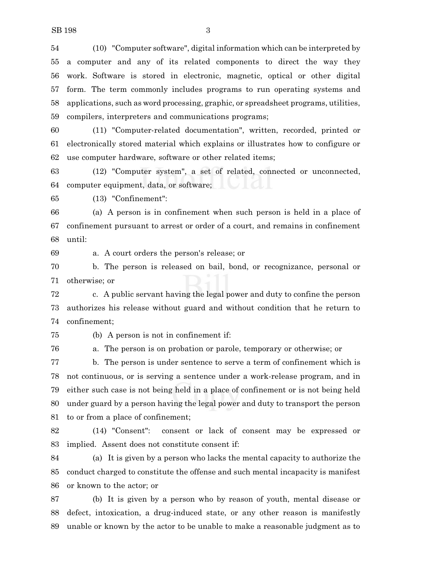(10) "Computer software", digital information which can be interpreted by a computer and any of its related components to direct the way they work. Software is stored in electronic, magnetic, optical or other digital form. The term commonly includes programs to run operating systems and applications, such as word processing, graphic, or spreadsheet programs, utilities, compilers, interpreters and communications programs;

 (11) "Computer-related documentation", written, recorded, printed or electronically stored material which explains or illustrates how to configure or use computer hardware, software or other related items;

 (12) "Computer system", a set of related, connected or unconnected, computer equipment, data, or software;

(13) "Confinement":

 (a) A person is in confinement when such person is held in a place of confinement pursuant to arrest or order of a court, and remains in confinement until:

a. A court orders the person's release; or

 b. The person is released on bail, bond, or recognizance, personal or otherwise; or

 c. A public servant having the legal power and duty to confine the person authorizes his release without guard and without condition that he return to confinement;

(b) A person is not in confinement if:

a. The person is on probation or parole, temporary or otherwise; or

 b. The person is under sentence to serve a term of confinement which is not continuous, or is serving a sentence under a work-release program, and in either such case is not being held in a place of confinement or is not being held under guard by a person having the legal power and duty to transport the person to or from a place of confinement;

 (14) "Consent": consent or lack of consent may be expressed or implied. Assent does not constitute consent if:

 (a) It is given by a person who lacks the mental capacity to authorize the conduct charged to constitute the offense and such mental incapacity is manifest or known to the actor; or

 (b) It is given by a person who by reason of youth, mental disease or defect, intoxication, a drug-induced state, or any other reason is manifestly unable or known by the actor to be unable to make a reasonable judgment as to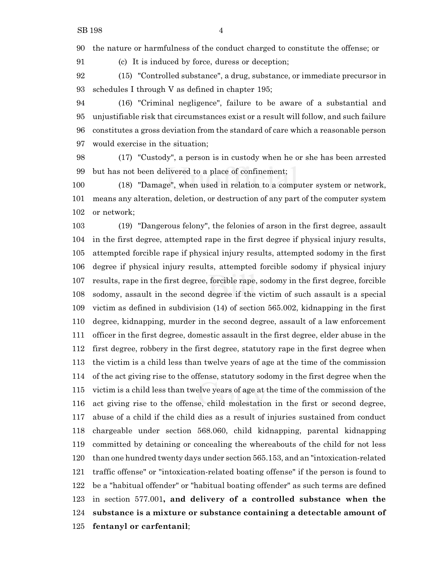the nature or harmfulness of the conduct charged to constitute the offense; or

(c) It is induced by force, duress or deception;

 (15) "Controlled substance", a drug, substance, or immediate precursor in schedules I through V as defined in chapter 195;

 (16) "Criminal negligence", failure to be aware of a substantial and unjustifiable risk that circumstances exist or a result will follow, and such failure constitutes a gross deviation from the standard of care which a reasonable person would exercise in the situation;

 (17) "Custody", a person is in custody when he or she has been arrested but has not been delivered to a place of confinement;

 (18) "Damage", when used in relation to a computer system or network, means any alteration, deletion, or destruction of any part of the computer system or network;

 (19) "Dangerous felony", the felonies of arson in the first degree, assault in the first degree, attempted rape in the first degree if physical injury results, attempted forcible rape if physical injury results, attempted sodomy in the first degree if physical injury results, attempted forcible sodomy if physical injury results, rape in the first degree, forcible rape, sodomy in the first degree, forcible sodomy, assault in the second degree if the victim of such assault is a special victim as defined in subdivision (14) of section 565.002, kidnapping in the first degree, kidnapping, murder in the second degree, assault of a law enforcement officer in the first degree, domestic assault in the first degree, elder abuse in the first degree, robbery in the first degree, statutory rape in the first degree when the victim is a child less than twelve years of age at the time of the commission of the act giving rise to the offense, statutory sodomy in the first degree when the victim is a child less than twelve years of age at the time of the commission of the act giving rise to the offense, child molestation in the first or second degree, abuse of a child if the child dies as a result of injuries sustained from conduct chargeable under section 568.060, child kidnapping, parental kidnapping committed by detaining or concealing the whereabouts of the child for not less than one hundred twenty days under section 565.153, and an "intoxication-related traffic offense" or "intoxication-related boating offense" if the person is found to be a "habitual offender" or "habitual boating offender" as such terms are defined in section 577.001**, and delivery of a controlled substance when the substance is a mixture or substance containing a detectable amount of fentanyl or carfentanil**;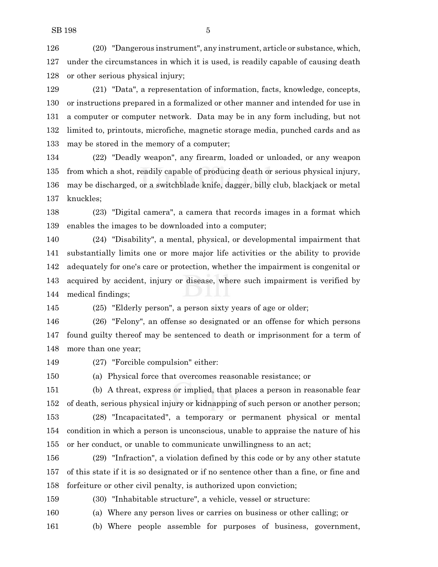(20) "Dangerous instrument", any instrument, article or substance, which, under the circumstances in which it is used, is readily capable of causing death or other serious physical injury;

 (21) "Data", a representation of information, facts, knowledge, concepts, or instructions prepared in a formalized or other manner and intended for use in a computer or computer network. Data may be in any form including, but not limited to, printouts, microfiche, magnetic storage media, punched cards and as may be stored in the memory of a computer;

 (22) "Deadly weapon", any firearm, loaded or unloaded, or any weapon from which a shot, readily capable of producing death or serious physical injury, may be discharged, or a switchblade knife, dagger, billy club, blackjack or metal knuckles;

 (23) "Digital camera", a camera that records images in a format which enables the images to be downloaded into a computer;

 (24) "Disability", a mental, physical, or developmental impairment that substantially limits one or more major life activities or the ability to provide adequately for one's care or protection, whether the impairment is congenital or acquired by accident, injury or disease, where such impairment is verified by medical findings;

(25) "Elderly person", a person sixty years of age or older;

 (26) "Felony", an offense so designated or an offense for which persons found guilty thereof may be sentenced to death or imprisonment for a term of more than one year;

(27) "Forcible compulsion" either:

(a) Physical force that overcomes reasonable resistance; or

 (b) A threat, express or implied, that places a person in reasonable fear of death, serious physical injury or kidnapping of such person or another person;

 (28) "Incapacitated", a temporary or permanent physical or mental condition in which a person is unconscious, unable to appraise the nature of his or her conduct, or unable to communicate unwillingness to an act;

 (29) "Infraction", a violation defined by this code or by any other statute of this state if it is so designated or if no sentence other than a fine, or fine and forfeiture or other civil penalty, is authorized upon conviction;

(30) "Inhabitable structure", a vehicle, vessel or structure:

(a) Where any person lives or carries on business or other calling; or

(b) Where people assemble for purposes of business, government,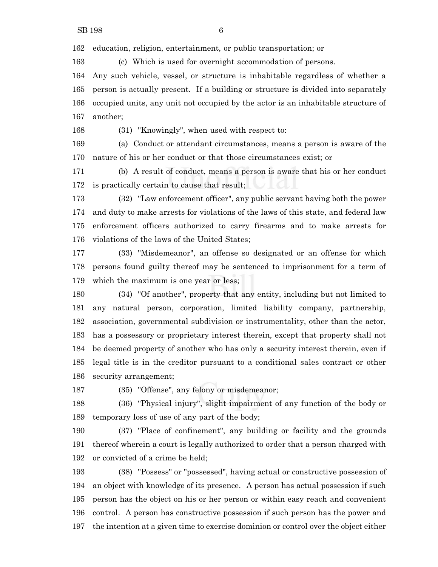education, religion, entertainment, or public transportation; or

(c) Which is used for overnight accommodation of persons.

 Any such vehicle, vessel, or structure is inhabitable regardless of whether a person is actually present. If a building or structure is divided into separately occupied units, any unit not occupied by the actor is an inhabitable structure of another;

(31) "Knowingly", when used with respect to:

 (a) Conduct or attendant circumstances, means a person is aware of the nature of his or her conduct or that those circumstances exist; or

 (b) A result of conduct, means a person is aware that his or her conduct is practically certain to cause that result;

 (32) "Law enforcement officer", any public servant having both the power and duty to make arrests for violations of the laws of this state, and federal law enforcement officers authorized to carry firearms and to make arrests for violations of the laws of the United States;

 (33) "Misdemeanor", an offense so designated or an offense for which persons found guilty thereof may be sentenced to imprisonment for a term of which the maximum is one year or less;

 (34) "Of another", property that any entity, including but not limited to any natural person, corporation, limited liability company, partnership, association, governmental subdivision or instrumentality, other than the actor, has a possessory or proprietary interest therein, except that property shall not be deemed property of another who has only a security interest therein, even if legal title is in the creditor pursuant to a conditional sales contract or other security arrangement;

(35) "Offense", any felony or misdemeanor;

 (36) "Physical injury", slight impairment of any function of the body or temporary loss of use of any part of the body;

 (37) "Place of confinement", any building or facility and the grounds thereof wherein a court is legally authorized to order that a person charged with or convicted of a crime be held;

 (38) "Possess" or "possessed", having actual or constructive possession of an object with knowledge of its presence. A person has actual possession if such person has the object on his or her person or within easy reach and convenient control. A person has constructive possession if such person has the power and the intention at a given time to exercise dominion or control over the object either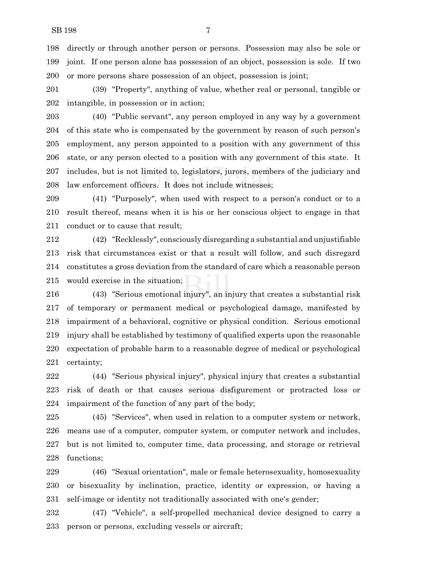directly or through another person or persons. Possession may also be sole or joint. If one person alone has possession of an object, possession is sole. If two or more persons share possession of an object, possession is joint;

 (39) "Property", anything of value, whether real or personal, tangible or intangible, in possession or in action;

 (40) "Public servant", any person employed in any way by a government of this state who is compensated by the government by reason of such person's employment, any person appointed to a position with any government of this state, or any person elected to a position with any government of this state. It includes, but is not limited to, legislators, jurors, members of the judiciary and law enforcement officers. It does not include witnesses;

 (41) "Purposely", when used with respect to a person's conduct or to a result thereof, means when it is his or her conscious object to engage in that conduct or to cause that result;

 (42) "Recklessly", consciously disregarding a substantial and unjustifiable risk that circumstances exist or that a result will follow, and such disregard constitutes a gross deviation from the standard of care which a reasonable person would exercise in the situation;

 (43) "Serious emotional injury", an injury that creates a substantial risk of temporary or permanent medical or psychological damage, manifested by impairment of a behavioral, cognitive or physical condition. Serious emotional injury shall be established by testimony of qualified experts upon the reasonable expectation of probable harm to a reasonable degree of medical or psychological certainty;

 (44) "Serious physical injury", physical injury that creates a substantial risk of death or that causes serious disfigurement or protracted loss or impairment of the function of any part of the body;

 (45) "Services", when used in relation to a computer system or network, means use of a computer, computer system, or computer network and includes, but is not limited to, computer time, data processing, and storage or retrieval functions;

 (46) "Sexual orientation", male or female heterosexuality, homosexuality or bisexuality by inclination, practice, identity or expression, or having a self-image or identity not traditionally associated with one's gender;

 (47) "Vehicle", a self-propelled mechanical device designed to carry a person or persons, excluding vessels or aircraft;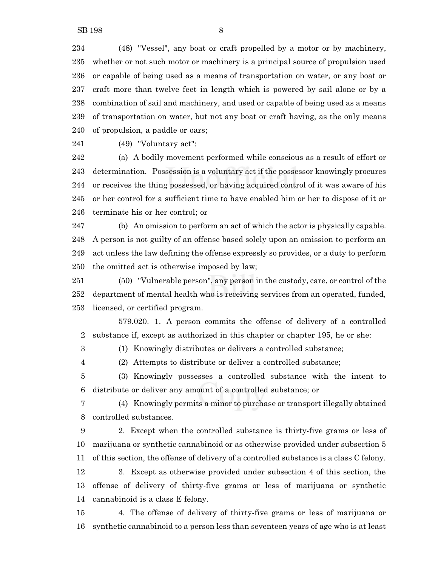(48) "Vessel", any boat or craft propelled by a motor or by machinery, whether or not such motor or machinery is a principal source of propulsion used or capable of being used as a means of transportation on water, or any boat or craft more than twelve feet in length which is powered by sail alone or by a combination of sail and machinery, and used or capable of being used as a means of transportation on water, but not any boat or craft having, as the only means of propulsion, a paddle or oars;

(49) "Voluntary act":

 (a) A bodily movement performed while conscious as a result of effort or determination. Possession is a voluntary act if the possessor knowingly procures or receives the thing possessed, or having acquired control of it was aware of his or her control for a sufficient time to have enabled him or her to dispose of it or terminate his or her control; or

 (b) An omission to perform an act of which the actor is physically capable. A person is not guilty of an offense based solely upon an omission to perform an act unless the law defining the offense expressly so provides, or a duty to perform the omitted act is otherwise imposed by law;

 (50) "Vulnerable person", any person in the custody, care, or control of the department of mental health who is receiving services from an operated, funded, licensed, or certified program.

579.020. 1. A person commits the offense of delivery of a controlled substance if, except as authorized in this chapter or chapter 195, he or she:

(1) Knowingly distributes or delivers a controlled substance;

(2) Attempts to distribute or deliver a controlled substance;

 (3) Knowingly possesses a controlled substance with the intent to distribute or deliver any amount of a controlled substance; or

 (4) Knowingly permits a minor to purchase or transport illegally obtained controlled substances.

 2. Except when the controlled substance is thirty-five grams or less of marijuana or synthetic cannabinoid or as otherwise provided under subsection 5 of this section, the offense of delivery of a controlled substance is a class C felony.

 3. Except as otherwise provided under subsection 4 of this section, the offense of delivery of thirty-five grams or less of marijuana or synthetic cannabinoid is a class E felony.

 4. The offense of delivery of thirty-five grams or less of marijuana or synthetic cannabinoid to a person less than seventeen years of age who is at least